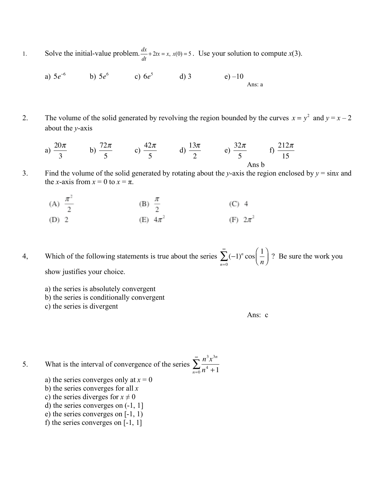Solve the initial-value problem.  $\frac{dx}{dt} + 2tx = x$ ,  $x(0) = 5$ . Use your solution to compute  $x(3)$ . 1.

a) 
$$
5e^{-6}
$$
 b)  $5e^{6}$  c)  $6e^{5}$  d) 3 e) -10  
Ans: a

The volume of the solid generated by revolving the region bounded by the curves  $x = y^2$  and  $y = x - 2$ 2. about the  $v$ -axis

a) 
$$
\frac{20\pi}{3}
$$
 b)  $\frac{72\pi}{5}$  c)  $\frac{42\pi}{5}$  d)  $\frac{13\pi}{2}$  e)  $\frac{32\pi}{5}$  f)  $\frac{212\pi}{15}$ 

- 3. Find the volume of the solid generated by rotating about the y-axis the region enclosed by  $y = \sin x$  and the x-axis from  $x = 0$  to  $x = \pi$ .
	- (A)  $\frac{\pi^2}{2}$ (B)  $\frac{\pi}{2}$  $(C)$  4 (E)  $4\pi^2$ (F)  $2\pi^2$  $(D)$  2

Which of the following statements is true about the series  $\sum_{n=0}^{\infty} (-1)^n \cos\left(\frac{1}{n}\right)$ ? Be sure the work you 4, show justifies your choice.

- a) the series is absolutely convergent
- b) the series is conditionally convergent
- c) the series is divergent

Ans: c

- What is the interval of convergence of the series  $\sum_{n=0}^{\infty} \frac{n^3 x^{3n}}{n^4 + 1}$ 5.
	- a) the series converges only at  $x = 0$
	- b) the series converges for all  $x$
	- c) the series diverges for  $x \neq 0$
	- d) the series converges on  $(-1, 1]$
	- e) the series converges on  $[-1, 1)$
	- f) the series converges on  $[-1, 1]$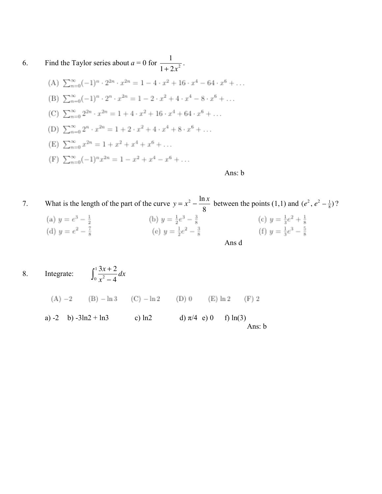6. Find the Taylor series about 
$$
a = 0
$$
 for  $\frac{1}{1 + 2x^2}$ .

(A)  $\sum_{n=0}^{\infty} (-1)^n \cdot 2^{2n} \cdot x^{2n} = 1 - 4 \cdot x^2 + 16 \cdot x^4 - 64 \cdot x^6 + \dots$ (B)  $\sum_{n=0}^{\infty}(-1)^n \cdot 2^n \cdot x^{2n} = 1 - 2 \cdot x^2 + 4 \cdot x^4 - 8 \cdot x^6 + \dots$ (C)  $\sum_{n=0}^{\infty} 2^{2n} \cdot x^{2n} = 1 + 4 \cdot x^2 + 16 \cdot x^4 + 64 \cdot x^6 + \dots$ (D)  $\sum_{n=0}^{\infty} 2^n \cdot x^{2n} = 1 + 2 \cdot x^2 + 4 \cdot x^4 + 8 \cdot x^6 + \dots$ (E)  $\sum_{n=0}^{\infty} x^{2n} = 1 + x^2 + x^4 + x^6 + \dots$ (F)  $\sum_{n=0}^{\infty} (-1)^n x^{2n} = 1 - x^2 + x^4 - x^6 + \dots$ 

Ans: b

- What is the length of the part of the curve  $y = x^2 \frac{\ln x}{8}$  between the points (1,1) and  $(e^2, e^2 \frac{1}{8})$ ? 7. (a)  $y = e^3 - \frac{1}{2}$ (b)  $y = \frac{1}{2}e^3 - \frac{3}{8}$ (c)  $y = \frac{1}{3}e^2 + \frac{1}{8}$ (e)  $y = \frac{1}{2}e^2 - \frac{3}{8}$ (f)  $y = \frac{1}{3}e^3 - \frac{5}{8}$ (d)  $y = e^2 - \frac{7}{8}$ Ans d
- $\int_0^1 \frac{3x+2}{x^2-4} dx$ Integrate: 8. (A)  $-2$  (B)  $-\ln 3$  (C)  $-\ln 2$  (D) 0 (E)  $\ln 2$  $(F)$  2 a) -2 b) -3ln2 + ln3 c) ln2 d)  $\pi/4$  e) 0 f)  $ln(3)$ Ans: b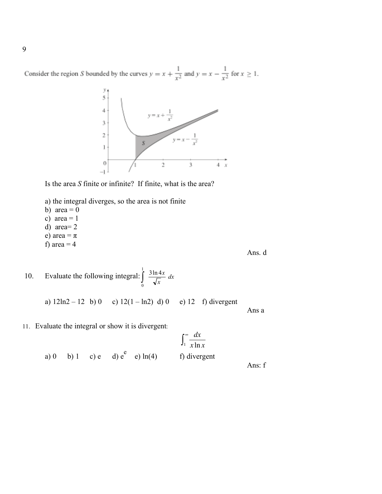Consider the region S bounded by the curves  $y = x + \frac{1}{x^2}$  and  $y = x - \frac{1}{x^2}$  for  $x \ge 1$ .



Ans. d

Ans a

Is the area *S* finite or infinite? If finite, what is the area?

- a) the integral diverges, so the area is not finite
- b) area  $= 0$
- c) area  $= 1$
- d) area= 2
- e) area =  $\pi$
- f) area  $=$  4

10. Evaluate the following integral:  $\int \frac{3 \ln 4x}{\sqrt{2}} dx$ *x*  $\int \frac{3 \ln 4x}{\sqrt{x}}$ 1 0 3ln 4

a)  $12ln2 - 12$  b) 0 c)  $12(1 - ln2)$  d) 0 e) 12 f) divergent

11. Evaluate the integral or show it is divergent:

$$
\int_{1}^{\infty} \frac{dx}{x \ln x}
$$
  
a) 0 b) 1 c) e d) e<sup>e</sup> e) ln(4) f) divergent  
Ans: f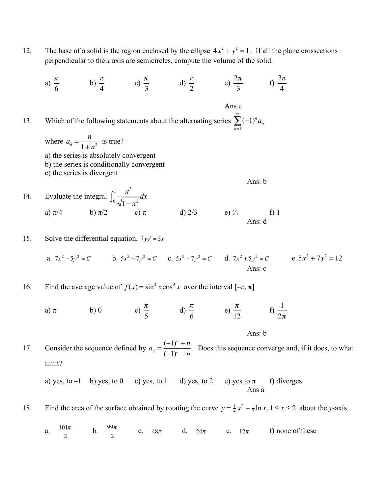- The base of a solid is the region enclosed by the ellipse  $4x^2 + y^2 = 1$ . If all the plane crossections 12. perpendicular to the  $x$  axis are semicircles, compute the volume of the solid.
- a)  $\frac{\pi}{6}$  b)  $\frac{\pi}{4}$  c)  $\frac{\pi}{3}$  d)  $\frac{\pi}{2}$  e)  $\frac{2\pi}{3}$  f)  $\frac{3\pi}{4}$ Ans c Which of the following statements about the alternating series  $\sum_{n=1}^{\infty} (-1)^n a_n$ 13. where  $a_n = \frac{n}{1 + n^2}$  is true? a) the series is absolutely convergent b) the series is conditionally convergent c) the series is divergent Ans: b Evaluate the integral  $\int_0^1 \frac{x^3}{\sqrt{1-x^2}} dx$ 14. d)  $2/3$  e)  $\frac{3}{4}$  Ans: d b)  $\pi/2$  c)  $\pi$ a)  $\pi/4$  $f$ ) 1

15. Solve the differential equation. 
$$
7yy' = 5x
$$

a.  $7x^2 - 5y^2 = C$  b.  $5x^2 + 7y^2 = C$  c.  $5x^2 - 7y^2 = C$  d.  $7x^2 + 5y^2 = C$  e.  $5x^2 + 7y^2 = 12$ Ans: c

Find the average value of  $f(x) = \sin^2 x \cos^3 x$  over the interval  $[-\pi, \pi]$ 16.

b) 0 c)  $\frac{\pi}{5}$  d)  $\frac{\pi}{6}$  e)  $\frac{\pi}{12}$  f)  $\frac{1}{2\pi}$ a)  $\pi$ 

Consider the sequence defined by  $a_n = \frac{(-1)^n + n}{(-1)^n - n}$ . Does this sequence converge and, if it does, to what 17. limit?

Ans: b

a) yes, to  $-1$  b) yes, to 0 c) yes, to 1 d) yes, to 2 e) yes to  $\pi$ f) diverges Ans a

Find the area of the surface obtained by rotating the curve  $y = \frac{1}{4}x^2 - \frac{1}{2}\ln x$ ,  $1 \le x \le 2$  about the y-axis. 18.

a.  $\frac{101\pi}{2}$  b.  $\frac{99\pi}{2}$  c.  $48\pi$  d.  $24\pi$  e.  $12\pi$ f) none of these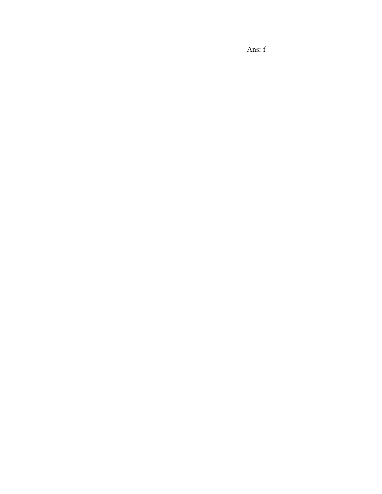Ans: f